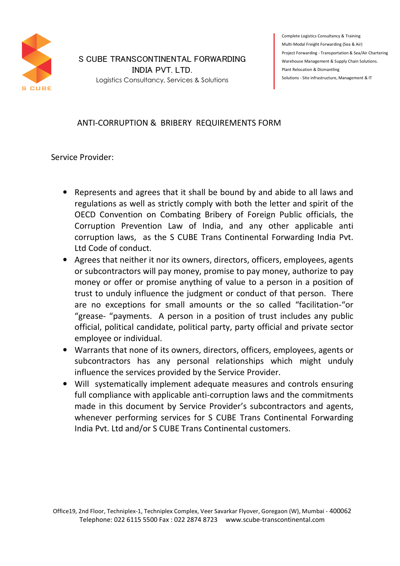

## S CUBE TRANSCONTINENTAL FORWARDING INDIA PVT. LTD.

Logistics Consultancy, Services & Solutions

Complete Logistics Consultancy & Training Multi-Modal Freight Forwarding (Sea & Air) Project Forwarding - Transportation & Sea/Air Chartering Warehouse Management & Supply Chain Solutions. Plant Relocation & Dismantling Solutions - Site infrastructure, Management & IT

## ANTI-CORRUPTION & BRIBERY REQUIREMENTS FORM

Service Provider:

- Represents and agrees that it shall be bound by and abide to all laws and regulations as well as strictly comply with both the letter and spirit of the OECD Convention on Combating Bribery of Foreign Public officials, the Corruption Prevention Law of India, and any other applicable anti corruption laws, as the S CUBE Trans Continental Forwarding India Pvt. Ltd Code of conduct.
- Agrees that neither it nor its owners, directors, officers, employees, agents or subcontractors will pay money, promise to pay money, authorize to pay money or offer or promise anything of value to a person in a position of trust to unduly influence the judgment or conduct of that person. There are no exceptions for small amounts or the so called "facilitation-"or "grease- "payments. A person in a position of trust includes any public official, political candidate, political party, party official and private sector employee or individual.
- Warrants that none of its owners, directors, officers, employees, agents or subcontractors has any personal relationships which might unduly influence the services provided by the Service Provider.
- Will systematically implement adequate measures and controls ensuring full compliance with applicable anti-corruption laws and the commitments made in this document by Service Provider's subcontractors and agents, whenever performing services for S CUBE Trans Continental Forwarding India Pvt. Ltd and/or S CUBE Trans Continental customers.